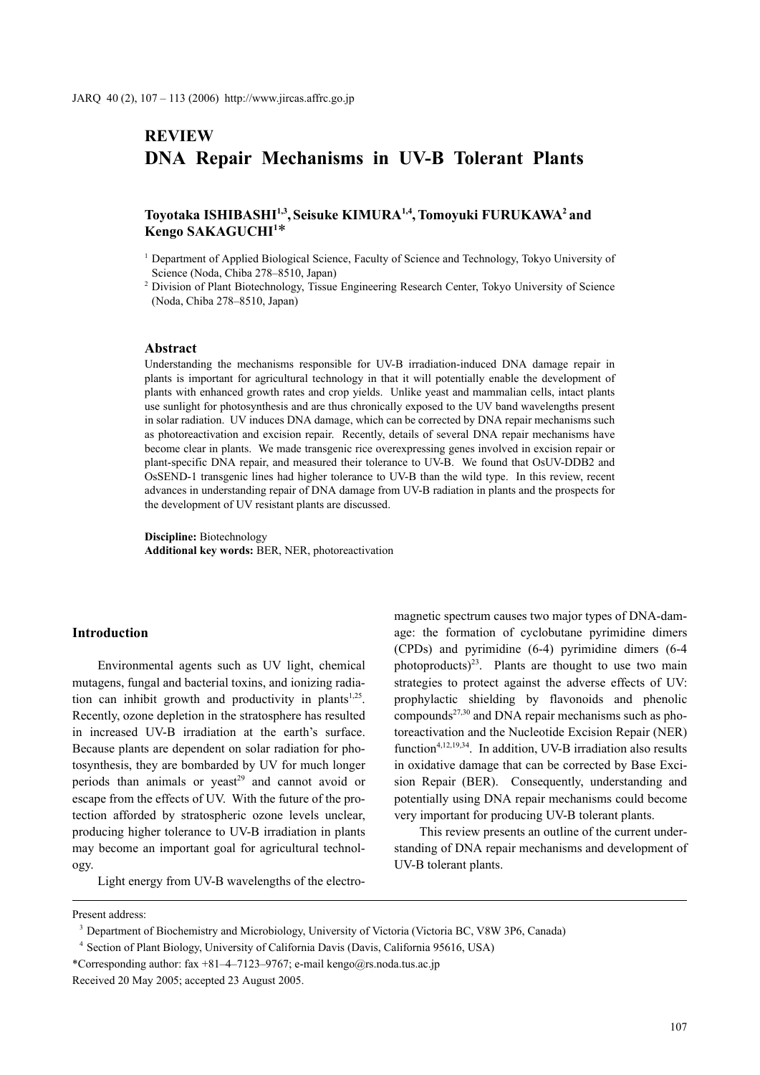# **REVIEW DNA Repair Mechanisms in UV-B Tolerant Plants**

# Toyotaka ISHIBASHI<sup>1,3</sup>, Seisuke KIMURA<sup>1,4</sup>, Tomoyuki FURUKAWA<sup>2</sup> and Kengo SAKAGUCHI<sup>1\*</sup>

<sup>1</sup> Department of Applied Biological Science, Faculty of Science and Technology, Tokyo University of Science (Noda, Chiba 278–8510, Japan)

<sup>2</sup> Division of Plant Biotechnology, Tissue Engineering Research Center, Tokyo University of Science (Noda, Chiba 278–8510, Japan)

### **Abstract**

Understanding the mechanisms responsible for UV-B irradiation-induced DNA damage repair in plants is important for agricultural technology in that it will potentially enable the development of plants with enhanced growth rates and crop yields. Unlike yeast and mammalian cells, intact plants use sunlight for photosynthesis and are thus chronically exposed to the UV band wavelengths present in solar radiation. UV induces DNA damage, which can be corrected by DNA repair mechanisms such as photoreactivation and excision repair. Recently, details of several DNA repair mechanisms have become clear in plants. We made transgenic rice overexpressing genes involved in excision repair or plant-specific DNA repair, and measured their tolerance to UV-B. We found that OsUV-DDB2 and OsSEND-1 transgenic lines had higher tolerance to UV-B than the wild type. In this review, recent advances in understanding repair of DNA damage from UV-B radiation in plants and the prospects for the development of UV resistant plants are discussed.

**Discipline:** Biotechnology **Additional key words:** BER, NER, photoreactivation

## **Introduction**

Environmental agents such as UV light, chemical mutagens, fungal and bacterial toxins, and ionizing radiation can inhibit growth and productivity in plants<sup>1,25</sup>. Recently, ozone depletion in the stratosphere has resulted in increased UV-B irradiation at the earth's surface. Because plants are dependent on solar radiation for photosynthesis, they are bombarded by UV for much longer periods than animals or yeast<sup>29</sup> and cannot avoid or escape from the effects of UV. With the future of the protection afforded by stratospheric ozone levels unclear, producing higher tolerance to UV-B irradiation in plants may become an important goal for agricultural technology.

Light energy from UV-B wavelengths of the electro-

magnetic spectrum causes two major types of DNA-damage: the formation of cyclobutane pyrimidine dimers (CPDs) and pyrimidine (6-4) pyrimidine dimers (6-4 photoproducts)<sup>23</sup>. Plants are thought to use two main strategies to protect against the adverse effects of UV: prophylactic shielding by flavonoids and phenolic compounds $^{27,30}$  and DNA repair mechanisms such as photoreactivation and the Nucleotide Excision Repair (NER) function<sup>4,12,19,34</sup>. In addition, UV-B irradiation also results in oxidative damage that can be corrected by Base Excision Repair (BER). Consequently, understanding and potentially using DNA repair mechanisms could become very important for producing UV-B tolerant plants.

This review presents an outline of the current understanding of DNA repair mechanisms and development of UV-B tolerant plants.

Present address:

<sup>&</sup>lt;sup>3</sup> Department of Biochemistry and Microbiology, University of Victoria (Victoria BC, V8W 3P6, Canada)

<sup>4</sup> Section of Plant Biology, University of California Davis (Davis, California 95616, USA)

<sup>\*</sup>Corresponding author: fax +81–4–7123–9767; e-mail kengo@rs.noda.tus.ac.jp Received 20 May 2005; accepted 23 August 2005.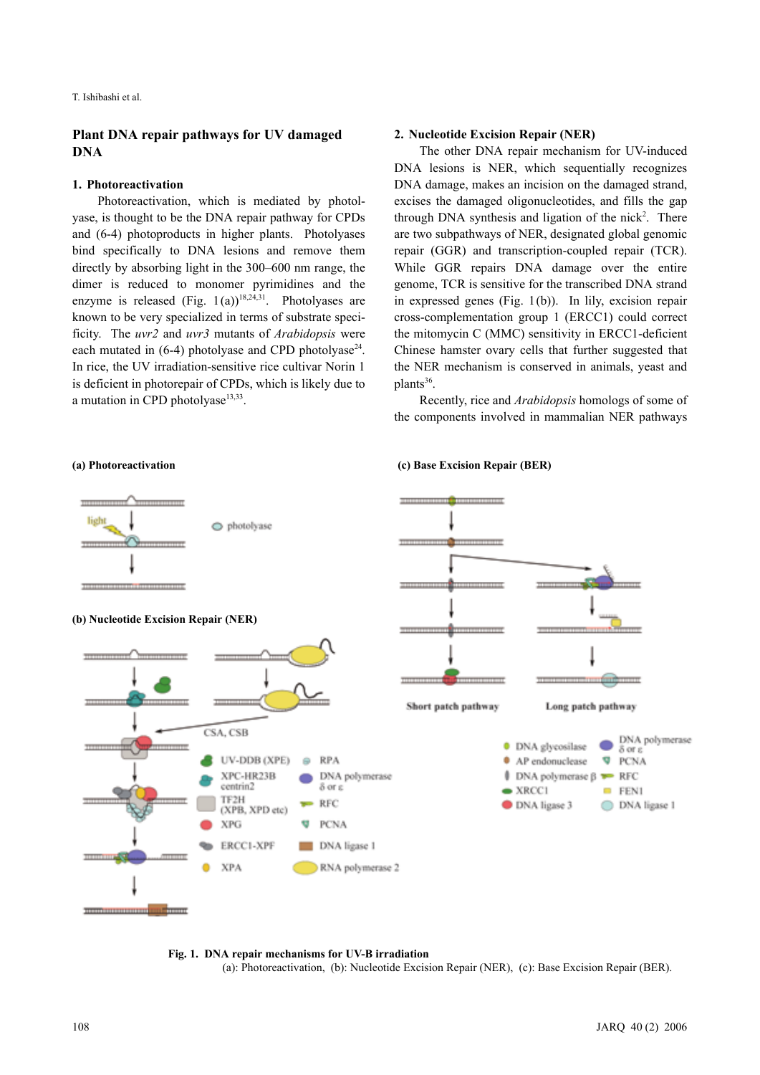# **Plant DNA repair pathways for UV damaged DNA**

### **1. Photoreactivation**

# Photoreactivation, which is mediated by photolyase, is thought to be the DNA repair pathway for CPDs and (6-4) photoproducts in higher plants. Photolyases bind specifically to DNA lesions and remove them directly by absorbing light in the 300–600 nm range, the dimer is reduced to monomer pyrimidines and the enzyme is released (Fig. 1(a))<sup>18,24,31</sup>. Photolyases are known to be very specialized in terms of substrate specificity. The *uvr2* and *uvr3* mutants of *Arabidopsis* were each mutated in  $(6-4)$  photolyase and CPD photolyase<sup>24</sup>. In rice, the UV irradiation-sensitive rice cultivar Norin 1 is deficient in photorepair of CPDs, which is likely due to a mutation in CPD photolyase $13,33$ .

## **2. Nucleotide Excision Repair (NER)**

The other DNA repair mechanism for UV-induced DNA lesions is NER, which sequentially recognizes DNA damage, makes an incision on the damaged strand, excises the damaged oligonucleotides, and fills the gap through DNA synthesis and ligation of the nick<sup>2</sup>. There are two subpathways of NER, designated global genomic repair (GGR) and transcription-coupled repair (TCR). While GGR repairs DNA damage over the entire genome, TCR is sensitive for the transcribed DNA strand in expressed genes (Fig. 1(b)). In lily, excision repair cross-complementation group 1 (ERCC1) could correct the mitomycin C (MMC) sensitivity in ERCC1-deficient Chinese hamster ovary cells that further suggested that the NER mechanism is conserved in animals, yeast and plants<sup>36</sup>.

Recently, rice and *Arabidopsis* homologs of some of the components involved in mammalian NER pathways

#### **(a) Photoreactivation**

#### **(c) Base Excision Repair (BER)**



**Fig. 1. DNA repair mechanisms for UV-B irradiation** (a): Photoreactivation, (b): Nucleotide Excision Repair (NER), (c): Base Excision Repair (BER).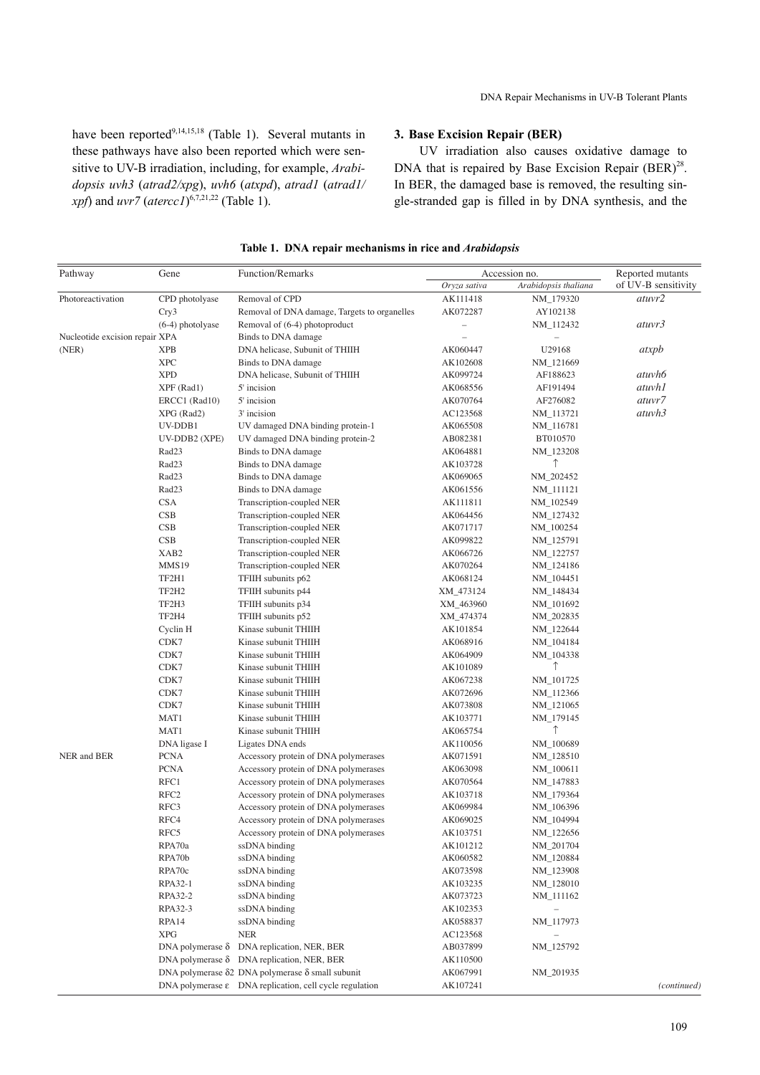have been reported<sup>9,14,15,18</sup> (Table 1). Several mutants in these pathways have also been reported which were sensitive to UV-B irradiation, including, for example, *Arabidopsis uvh3* (*atrad2/xpg*), *uvh6* (*atxpd*), *atrad1* (*atrad1/ xpf*) and *uvr7* (*atercc1*) 6,7,21,22 (Table 1).

# **3. Base Excision Repair (BER)**

UV irradiation also causes oxidative damage to DNA that is repaired by Base Excision Repair  $(BER)^{28}$ . In BER, the damaged base is removed, the resulting single-stranded gap is filled in by DNA synthesis, and the

| Pathway                        | Gene              | <b>Function/Remarks</b>                                               | Accession no.            |                        | Reported mutants    |
|--------------------------------|-------------------|-----------------------------------------------------------------------|--------------------------|------------------------|---------------------|
|                                |                   |                                                                       | Oryza sativa             | Arabidopsis thaliana   | of UV-B sensitivity |
| Photoreactivation              | CPD photolyase    | Removal of CPD                                                        | AK111418                 | NM_179320              | atuvr2              |
|                                | Cry3              | Removal of DNA damage, Targets to organelles                          | AK072287                 | AY102138               |                     |
|                                | (6-4) photolyase  | Removal of (6-4) photoproduct                                         | $\overline{\phantom{0}}$ | NM_112432              | atuvr3              |
| Nucleotide excision repair XPA |                   | Binds to DNA damage                                                   |                          |                        |                     |
| (NER)                          | <b>XPB</b>        | DNA helicase, Subunit of THIIH                                        | AK060447                 | U29168                 | atxpb               |
|                                | <b>XPC</b>        | Binds to DNA damage                                                   | AK102608                 | NM_121669              |                     |
|                                | <b>XPD</b>        | DNA helicase, Subunit of THIIH                                        | AK099724                 | AF188623               | atuvh6              |
|                                | XPF (Rad1)        | 5' incision                                                           | AK068556                 | AF191494               | atuvh1              |
|                                | ERCC1 (Rad10)     | 5' incision                                                           | AK070764                 | AF276082               | atuvr7              |
|                                | XPG (Rad2)        | 3' incision                                                           | AC123568                 | NM_113721              | atuvh3              |
|                                | UV-DDB1           | UV damaged DNA binding protein-1                                      | AK065508                 | NM_116781              |                     |
|                                | UV-DDB2 (XPE)     | UV damaged DNA binding protein-2                                      | AB082381                 | BT010570               |                     |
|                                | Rad <sub>23</sub> | Binds to DNA damage                                                   | AK064881                 | NM_123208              |                     |
|                                | Rad <sub>23</sub> | Binds to DNA damage                                                   | AK103728                 | ↑                      |                     |
|                                | Rad <sub>23</sub> | Binds to DNA damage                                                   | AK069065                 | NM_202452              |                     |
|                                | Rad <sub>23</sub> | Binds to DNA damage                                                   | AK061556                 | NM_111121              |                     |
|                                | <b>CSA</b>        | Transcription-coupled NER                                             | AK111811                 | NM_102549              |                     |
|                                | <b>CSB</b>        |                                                                       | AK064456                 |                        |                     |
|                                | <b>CSB</b>        | Transcription-coupled NER                                             |                          | NM_127432<br>NM_100254 |                     |
|                                |                   | Transcription-coupled NER                                             | AK071717                 |                        |                     |
|                                | CSB               | Transcription-coupled NER                                             | AK099822                 | NM_125791              |                     |
|                                | XAB <sub>2</sub>  | Transcription-coupled NER                                             | AK066726                 | NM_122757              |                     |
|                                | MMS19             | Transcription-coupled NER                                             | AK070264                 | NM_124186              |                     |
|                                | TF2H1             | TFIIH subunits p62                                                    | AK068124                 | NM_104451              |                     |
|                                | TF2H <sub>2</sub> | TFIIH subunits p44                                                    | XM_473124                | NM_148434              |                     |
|                                | TF2H3             | TFIIH subunits p34                                                    | XM_463960                | NM_101692              |                     |
|                                | TF2H4             | TFIIH subunits p52                                                    | XM_474374                | NM_202835              |                     |
|                                | Cyclin H          | Kinase subunit THIIH                                                  | AK101854                 | NM_122644              |                     |
|                                | CDK7              | Kinase subunit THIIH                                                  | AK068916                 | NM_104184              |                     |
|                                | CDK7              | Kinase subunit THIIH                                                  | AK064909                 | NM_104338              |                     |
|                                | CDK7              | Kinase subunit THIIH                                                  | AK101089                 | ↑                      |                     |
|                                | CDK7              | Kinase subunit THIIH                                                  | AK067238                 | NM_101725              |                     |
|                                | CDK7              | Kinase subunit THIIH                                                  | AK072696                 | NM_112366              |                     |
|                                | CDK7              | Kinase subunit THIIH                                                  | AK073808                 | NM_121065              |                     |
|                                | MAT1              | Kinase subunit THIIH                                                  | AK103771                 | NM_179145              |                     |
|                                | MAT1              | Kinase subunit THIIH                                                  | AK065754                 | ↑                      |                     |
|                                | DNA ligase I      | Ligates DNA ends                                                      | AK110056                 | NM_100689              |                     |
| NER and BER                    | <b>PCNA</b>       | Accessory protein of DNA polymerases                                  | AK071591                 | NM_128510              |                     |
|                                | <b>PCNA</b>       | Accessory protein of DNA polymerases                                  | AK063098                 | NM_100611              |                     |
|                                | RFC1              | Accessory protein of DNA polymerases                                  | AK070564                 | NM_147883              |                     |
|                                | RFC <sub>2</sub>  | Accessory protein of DNA polymerases                                  | AK103718                 | NM_179364              |                     |
|                                | RFC3              | Accessory protein of DNA polymerases                                  | AK069984                 | NM_106396              |                     |
|                                | RFC4              | Accessory protein of DNA polymerases                                  | AK069025                 | NM_104994              |                     |
|                                | RFC5              | Accessory protein of DNA polymerases                                  | AK103751                 | NM_122656              |                     |
|                                | RPA70a            | ssDNA binding                                                         | AK101212                 | NM_201704              |                     |
|                                | RPA70b            | ssDNA binding                                                         | AK060582                 | NM_120884              |                     |
|                                | RPA70c            | ssDNA binding                                                         | AK073598                 | NM_123908              |                     |
|                                | RPA32-1           | ssDNA binding                                                         | AK103235                 | NM_128010              |                     |
|                                | RPA32-2           | ssDNA binding                                                         | AK073723                 | NM_111162              |                     |
|                                | RPA32-3           | ssDNA binding                                                         | AK102353                 |                        |                     |
|                                | RPA14             | ssDNA binding                                                         | AK058837                 | NM_117973              |                     |
|                                | <b>XPG</b>        | <b>NER</b>                                                            | AC123568                 |                        |                     |
|                                |                   | DNA polymerase $\delta$ DNA replication, NER, BER                     | AB037899                 | NM_125792              |                     |
|                                |                   | DNA polymerase $\delta$ DNA replication, NER, BER                     | AK110500                 |                        |                     |
|                                |                   | DNA polymerase $\delta$ 2 DNA polymerase $\delta$ small subunit       | AK067991                 | NM_201935              |                     |
|                                |                   | $DNA$ polymerase $\varepsilon$ DNA replication, cell cycle regulation | AK107241                 |                        | (continued)         |
|                                |                   |                                                                       |                          |                        |                     |

**Table 1. DNA repair mechanisms in rice and** *Arabidopsis*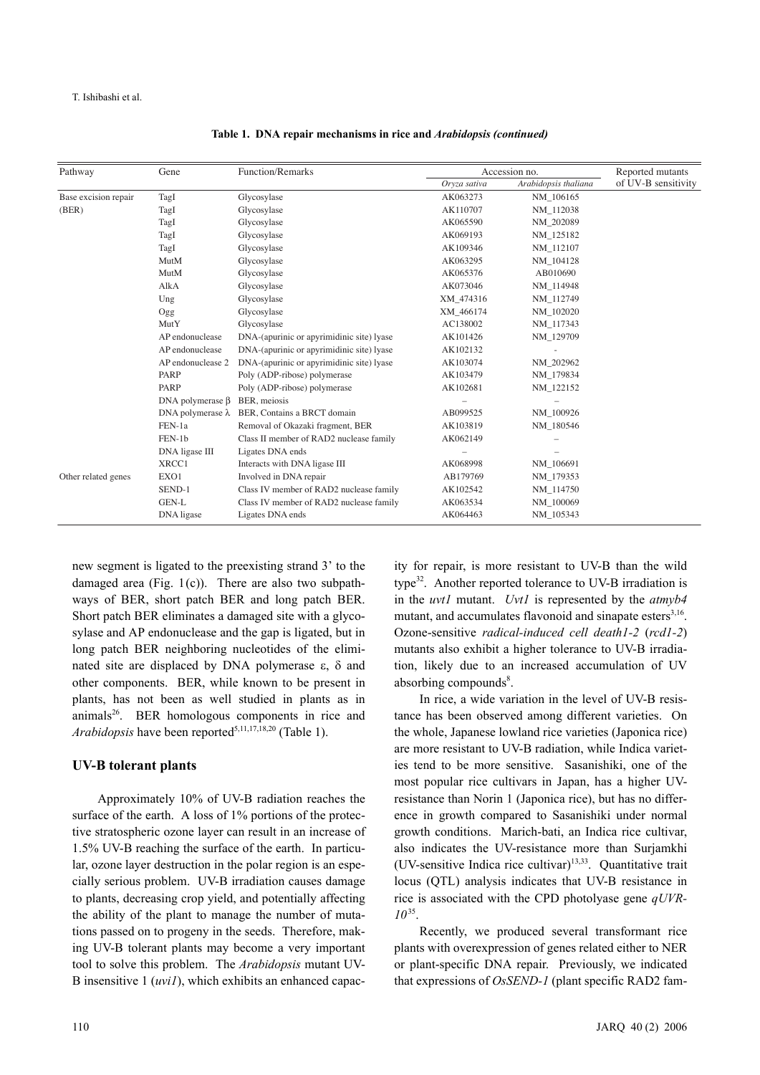| Pathway              | Gene                     | <b>Function/Remarks</b>                   | Accession no. |                      | Reported mutants    |
|----------------------|--------------------------|-------------------------------------------|---------------|----------------------|---------------------|
|                      |                          |                                           | Oryza sativa  | Arabidopsis thaliana | of UV-B sensitivity |
| Base excision repair | TagI                     | Glycosylase                               | AK063273      | NM 106165            |                     |
| (BER)                | TagI                     | Glycosylase                               | AK110707      | NM 112038            |                     |
|                      | TagI                     | Glycosylase                               | AK065590      | NM 202089            |                     |
|                      | TagI                     | Glycosylase                               | AK069193      | NM 125182            |                     |
|                      | TagI                     | Glycosylase                               | AK109346      | NM 112107            |                     |
|                      | MutM                     | Glycosylase                               | AK063295      | NM 104128            |                     |
|                      | MutM                     | Glycosylase                               | AK065376      | AB010690             |                     |
|                      | AlkA                     | Glycosylase                               | AK073046      | NM_114948            |                     |
|                      | Ung                      | Glycosylase                               | XM 474316     | NM 112749            |                     |
|                      | Ogg                      | Glycosylase                               | XM 466174     | NM 102020            |                     |
|                      | MutY                     | Glycosylase                               | AC138002      | NM 117343            |                     |
|                      | AP endonuclease          | DNA-(apurinic or apyrimidinic site) lyase | AK101426      | NM 129709            |                     |
|                      | AP endonuclease          | DNA-(apurinic or apyrimidinic site) lyase | AK102132      |                      |                     |
|                      | AP endonuclease 2        | DNA-(apurinic or apyrimidinic site) lyase | AK103074      | NM 202962            |                     |
|                      | PARP                     | Poly (ADP-ribose) polymerase              | AK103479      | NM 179834            |                     |
|                      | PARP                     | Poly (ADP-ribose) polymerase              | AK102681      | NM_122152            |                     |
|                      | DNA polymerase $\beta$   | BER, meiosis                              |               |                      |                     |
|                      | DNA polymerase $\lambda$ | BER, Contains a BRCT domain               | AB099525      | NM_100926            |                     |
|                      | FEN-1a                   | Removal of Okazaki fragment, BER          | AK103819      | NM 180546            |                     |
|                      | FEN-1b                   | Class II member of RAD2 nuclease family   | AK062149      |                      |                     |
|                      | DNA ligase III           | Ligates DNA ends                          |               |                      |                     |
|                      | XRCC1                    | Interacts with DNA ligase III             | AK068998      | NM_106691            |                     |
| Other related genes  | EXO1                     | Involved in DNA repair                    | AB179769      | NM 179353            |                     |
|                      | SEND-1                   | Class IV member of RAD2 nuclease family   | AK102542      | NM_114750            |                     |
|                      | <b>GEN-L</b>             | Class IV member of RAD2 nuclease family   | AK063534      | NM 100069            |                     |
|                      | DNA ligase               | Ligates DNA ends                          | AK064463      | NM 105343            |                     |

#### **Table 1. DNA repair mechanisms in rice and** *Arabidopsis (continued)*

new segment is ligated to the preexisting strand 3' to the damaged area (Fig.  $1(c)$ ). There are also two subpathways of BER, short patch BER and long patch BER. Short patch BER eliminates a damaged site with a glycosylase and AP endonuclease and the gap is ligated, but in long patch BER neighboring nucleotides of the eliminated site are displaced by DNA polymerase ε, δ and other components. BER, while known to be present in plants, has not been as well studied in plants as in  $\text{animals}^{26}$ . BER homologous components in rice and *Arabidopsis* have been reported<sup>5,11,17,18,20</sup> (Table 1).

### **UV-B tolerant plants**

Approximately 10% of UV-B radiation reaches the surface of the earth. A loss of 1% portions of the protective stratospheric ozone layer can result in an increase of 1.5% UV-B reaching the surface of the earth. In particular, ozone layer destruction in the polar region is an especially serious problem. UV-B irradiation causes damage to plants, decreasing crop yield, and potentially affecting the ability of the plant to manage the number of mutations passed on to progeny in the seeds. Therefore, making UV-B tolerant plants may become a very important tool to solve this problem. The *Arabidopsis* mutant UV-B insensitive 1 (*uvi1*), which exhibits an enhanced capacity for repair, is more resistant to UV-B than the wild type32. Another reported tolerance to UV-B irradiation is in the *uvt1* mutant. *Uvt1* is represented by the *atmyb4* mutant, and accumulates flavonoid and sinapate esters<sup>3,16</sup>. Ozone-sensitive *radical-induced cell death1-2* (*rcd1-2*) mutants also exhibit a higher tolerance to UV-B irradiation, likely due to an increased accumulation of UV absorbing compounds<sup>8</sup>.

In rice, a wide variation in the level of UV-B resistance has been observed among different varieties. On the whole, Japanese lowland rice varieties (Japonica rice) are more resistant to UV-B radiation, while Indica varieties tend to be more sensitive. Sasanishiki, one of the most popular rice cultivars in Japan, has a higher UVresistance than Norin 1 (Japonica rice), but has no difference in growth compared to Sasanishiki under normal growth conditions. Marich-bati, an Indica rice cultivar, also indicates the UV-resistance more than Surjamkhi  $(UV\text{-sensitive Indica rice cultivar})^{13,33}$ . Quantitative trait locus (QTL) analysis indicates that UV-B resistance in rice is associated with the CPD photolyase gene *qUVR-10*35.

Recently, we produced several transformant rice plants with overexpression of genes related either to NER or plant-specific DNA repair. Previously, we indicated that expressions of *OsSEND-1* (plant specific RAD2 fam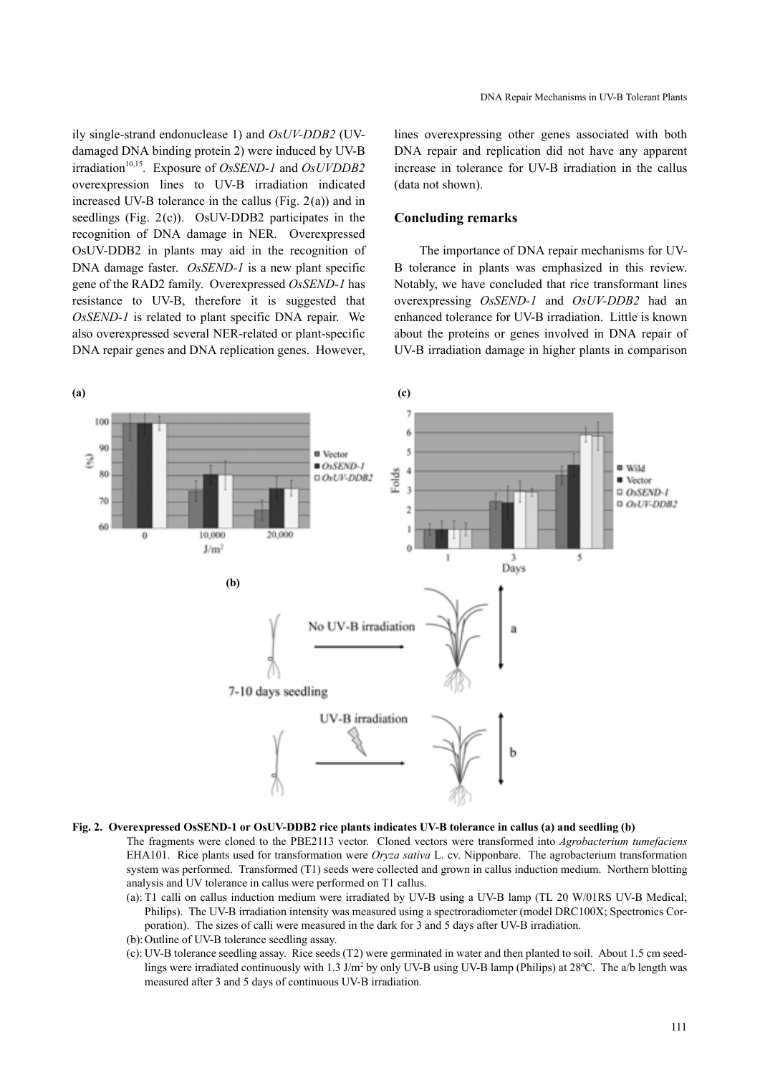ily single-strand endonuclease 1) and *OsUV-DDB2* (UVdamaged DNA binding protein 2) were induced by UV-B irradiation10,15. Exposure of *OsSEND-1* and *OsUVDDB2* overexpression lines to UV-B irradiation indicated increased UV-B tolerance in the callus (Fig. 2(a)) and in seedlings (Fig. 2(c)). OsUV-DDB2 participates in the recognition of DNA damage in NER. Overexpressed OsUV-DDB2 in plants may aid in the recognition of DNA damage faster. *OsSEND-1* is a new plant specific gene of the RAD2 family. Overexpressed *OsSEND-1* has resistance to UV-B, therefore it is suggested that *OsSEND-1* is related to plant specific DNA repair. We also overexpressed several NER-related or plant-specific DNA repair genes and DNA replication genes. However, lines overexpressing other genes associated with both DNA repair and replication did not have any apparent increase in tolerance for UV-B irradiation in the callus (data not shown).

### **Concluding remarks**

The importance of DNA repair mechanisms for UV-B tolerance in plants was emphasized in this review. Notably, we have concluded that rice transformant lines overexpressing *OsSEND-1* and *OsUV-DDB2* had an enhanced tolerance for UV-B irradiation. Little is known about the proteins or genes involved in DNA repair of UV-B irradiation damage in higher plants in comparison



**Fig. 2. Overexpressed OsSEND-1 or OsUV-DDB2 rice plants indicates UV-B tolerance in callus (a) and seedling (b)**

The fragments were cloned to the PBE2113 vector. Cloned vectors were transformed into *Agrobacterium tumefaciens* EHA101. Rice plants used for transformation were *Oryza sativa* L. cv. Nipponbare. The agrobacterium transformation system was performed. Transformed (T1) seeds were collected and grown in callus induction medium. Northern blotting analysis and UV tolerance in callus were performed on T1 callus.

- (a): T1 calli on callus induction medium were irradiated by UV-B using a UV-B lamp (TL 20 W/01RS UV-B Medical; Philips). The UV-B irradiation intensity was measured using a spectroradiometer (model DRC100X; Spectronics Corporation). The sizes of calli were measured in the dark for 3 and 5 days after UV-B irradiation.
- (b): Outline of UV-B tolerance seedling assay.
- (c): UV-B tolerance seedling assay. Rice seeds (T2) were germinated in water and then planted to soil. About 1.5 cm seedlings were irradiated continuously with 1.3 J/m<sup>2</sup> by only UV-B using UV-B lamp (Philips) at 28°C. The a/b length was measured after 3 and 5 days of continuous UV-B irradiation.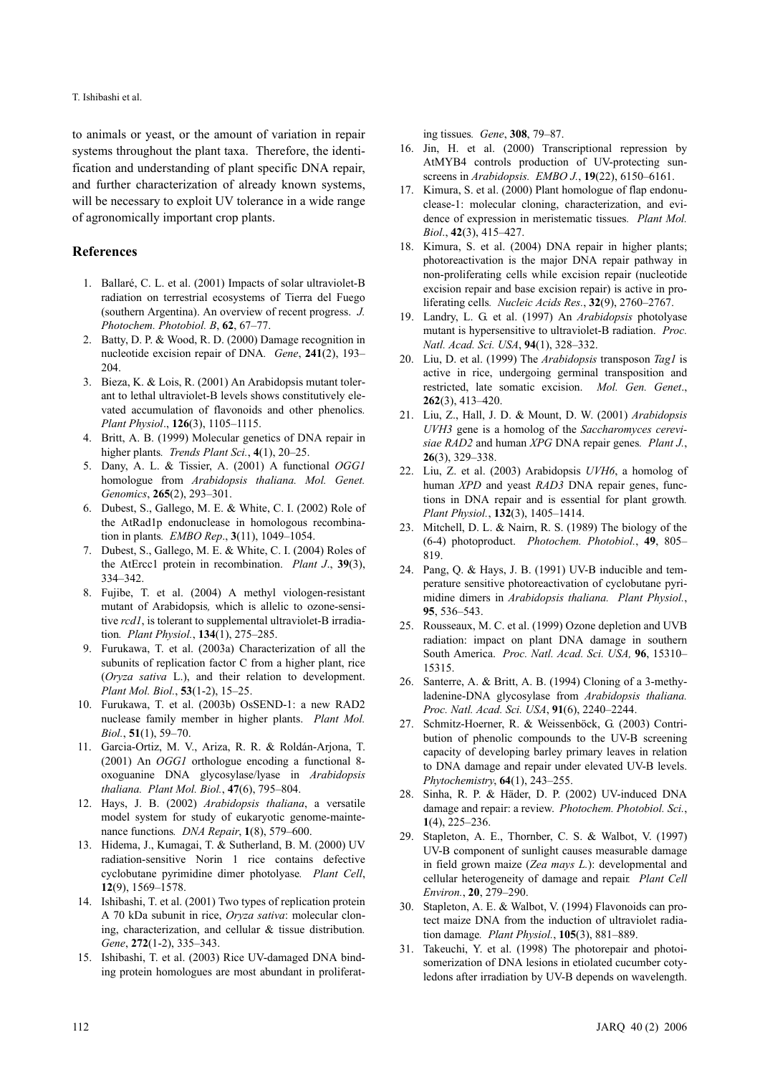T. Ishibashi et al.

to animals or yeast, or the amount of variation in repair systems throughout the plant taxa. Therefore, the identification and understanding of plant specific DNA repair, and further characterization of already known systems, will be necessary to exploit UV tolerance in a wide range of agronomically important crop plants.

# **References**

- 1. Ballaré, C. L. et al. (2001) Impacts of solar ultraviolet-B radiation on terrestrial ecosystems of Tierra del Fuego (southern Argentina). An overview of recent progress. *J. Photochem. Photobiol. B*, **62**, 67–77.
- 2. Batty, D. P. & Wood, R. D. (2000) Damage recognition in nucleotide excision repair of DNA*. Gene*, **241**(2), 193– 204.
- 3. Bieza, K. & Lois, R. (2001) An Arabidopsis mutant tolerant to lethal ultraviolet-B levels shows constitutively elevated accumulation of flavonoids and other phenolics*. Plant Physiol*., **126**(3), 1105–1115.
- 4. Britt, A. B. (1999) Molecular genetics of DNA repair in higher plants*. Trends Plant Sci.*, **4**(1), 20–25.
- 5. Dany, A. L. & Tissier, A. (2001) A functional *OGG1* homologue from *Arabidopsis thaliana. Mol. Genet. Genomics*, **265**(2), 293–301.
- 6. Dubest, S., Gallego, M. E. & White, C. I. (2002) Role of the AtRad1p endonuclease in homologous recombination in plants*. EMBO Rep*., **3**(11), 1049–1054.
- 7. Dubest, S., Gallego, M. E. & White, C. I. (2004) Roles of the AtErcc1 protein in recombination. *Plant J*., **39**(3), 334–342.
- 8. Fujibe, T. et al. (2004) A methyl viologen-resistant mutant of Arabidopsis*,* which is allelic to ozone-sensitive *rcd1*, is tolerant to supplemental ultraviolet-B irradiation*. Plant Physiol.*, **134**(1), 275–285.
- 9. Furukawa, T. et al. (2003a) Characterization of all the subunits of replication factor C from a higher plant, rice (*Oryza sativa* L.), and their relation to development. *Plant Mol. Biol.*, **53**(1-2), 15–25.
- 10. Furukawa, T. et al. (2003b) OsSEND-1: a new RAD2 nuclease family member in higher plants. *Plant Mol. Biol.*, **51**(1), 59–70.
- 11. Garcia-Ortiz, M. V., Ariza, R. R. & Roldán-Arjona, T. (2001) An *OGG1* orthologue encoding a functional 8 oxoguanine DNA glycosylase/lyase in *Arabidopsis thaliana. Plant Mol. Biol.*, **47**(6), 795–804.
- 12. Hays, J. B. (2002) *Arabidopsis thaliana*, a versatile model system for study of eukaryotic genome-maintenance functions*. DNA Repair*, **1**(8), 579–600.
- 13. Hidema, J., Kumagai, T. & Sutherland, B. M. (2000) UV radiation-sensitive Norin 1 rice contains defective cyclobutane pyrimidine dimer photolyase*. Plant Cell*, **12**(9), 1569–1578.
- 14. Ishibashi, T. et al. (2001) Two types of replication protein A 70 kDa subunit in rice, *Oryza sativa*: molecular cloning, characterization, and cellular & tissue distribution*. Gene*, **272**(1-2), 335–343.
- 15. Ishibashi, T. et al. (2003) Rice UV-damaged DNA binding protein homologues are most abundant in proliferat-

ing tissues*. Gene*, **308**, 79–87.

- 16. Jin, H. et al. (2000) Transcriptional repression by AtMYB4 controls production of UV-protecting sunscreens in *Arabidopsis. EMBO J.*, **19**(22), 6150–6161.
- 17. Kimura, S. et al. (2000) Plant homologue of flap endonuclease-1: molecular cloning, characterization, and evidence of expression in meristematic tissues*. Plant Mol. Biol*., **42**(3), 415–427.
- 18. Kimura, S. et al. (2004) DNA repair in higher plants; photoreactivation is the major DNA repair pathway in non-proliferating cells while excision repair (nucleotide excision repair and base excision repair) is active in proliferating cells*. Nucleic Acids Res.*, **32**(9), 2760–2767.
- 19. Landry, L. G. et al. (1997) An *Arabidopsis* photolyase mutant is hypersensitive to ultraviolet-B radiation. *Proc. Natl. Acad. Sci. USA*, **94**(1), 328–332.
- 20. Liu, D. et al. (1999) The *Arabidopsis* transposon *Tag1* is active in rice, undergoing germinal transposition and restricted, late somatic excision. *Mol. Gen. Genet*., **262**(3), 413–420.
- 21. Liu, Z., Hall, J. D. & Mount, D. W. (2001) *Arabidopsis UVH3* gene is a homolog of the *Saccharomyces cerevisiae RAD2* and human *XPG* DNA repair genes*. Plant J.*, **26**(3), 329–338.
- 22. Liu, Z. et al. (2003) Arabidopsis *UVH6*, a homolog of human *XPD* and yeast *RAD3* DNA repair genes, functions in DNA repair and is essential for plant growth*. Plant Physiol.*, **132**(3), 1405–1414.
- 23. Mitchell, D. L. & Nairn, R. S. (1989) The biology of the (6-4) photoproduct. *Photochem. Photobiol.*, **49**, 805– 819.
- 24. Pang, Q. & Hays, J. B. (1991) UV-B inducible and temperature sensitive photoreactivation of cyclobutane pyrimidine dimers in *Arabidopsis thaliana. Plant Physiol.*, **95**, 536–543.
- 25. Rousseaux, M. C. et al. (1999) Ozone depletion and UVB radiation: impact on plant DNA damage in southern South America. *Proc. Natl. Acad. Sci. USA,* **96**, 15310– 15315.
- 26. Santerre, A. & Britt, A. B. (1994) Cloning of a 3-methyladenine-DNA glycosylase from *Arabidopsis thaliana. Proc. Natl. Acad. Sci. USA*, **91**(6), 2240–2244.
- 27. Schmitz-Hoerner, R. & Weissenböck, G. (2003) Contribution of phenolic compounds to the UV-B screening capacity of developing barley primary leaves in relation to DNA damage and repair under elevated UV-B levels. *Phytochemistry*, **64**(1), 243–255.
- 28. Sinha, R. P. & Häder, D. P. (2002) UV-induced DNA damage and repair: a review. *Photochem. Photobiol. Sci.*, **1**(4), 225–236.
- 29. Stapleton, A. E., Thornber, C. S. & Walbot, V. (1997) UV-B component of sunlight causes measurable damage in field grown maize (*Zea mays L.*): developmental and cellular heterogeneity of damage and repair*. Plant Cell Environ.*, **20**, 279–290.
- 30. Stapleton, A. E. & Walbot, V. (1994) Flavonoids can protect maize DNA from the induction of ultraviolet radiation damage*. Plant Physiol.*, **105**(3), 881–889.
- 31. Takeuchi, Y. et al. (1998) The photorepair and photoisomerization of DNA lesions in etiolated cucumber cotyledons after irradiation by UV-B depends on wavelength.